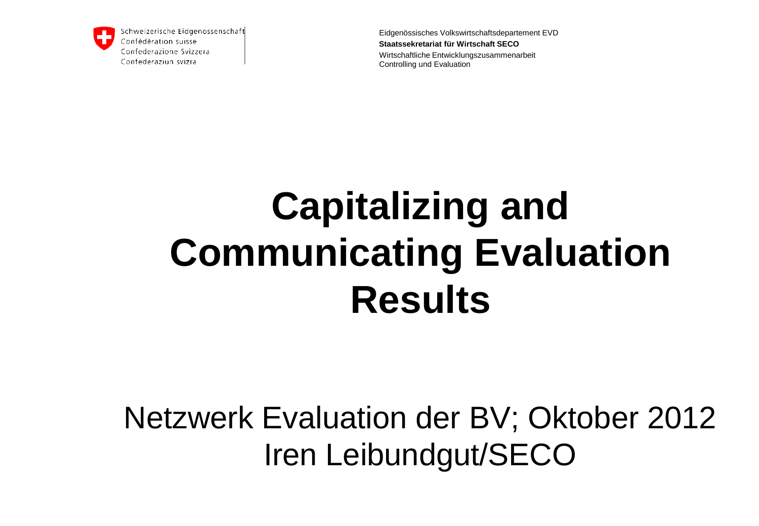

Eidgenössisches Volkswirtschaftsdepartement EVD **Staatssekretariat für Wirtschaft SECO** Wirtschaftliche Entwicklungszusammenarbeit Controlling und Evaluation

# **Capitalizing and Communicating Evaluation Results**

Netzwerk Evaluation der BV; Oktober 2012 Iren Leibundgut/SECO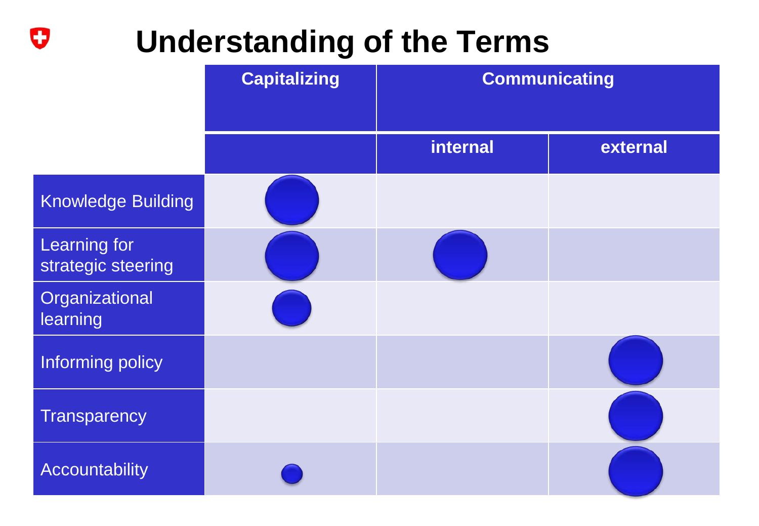## **Understanding of the Terms**

 $\mathbf C$ 

|                                           | <b>Capitalizing</b> | <b>Communicating</b> |          |
|-------------------------------------------|---------------------|----------------------|----------|
|                                           |                     | internal             | external |
| <b>Knowledge Building</b>                 |                     |                      |          |
| <b>Learning for</b><br>strategic steering |                     |                      |          |
| Organizational<br>learning                |                     |                      |          |
| Informing policy                          |                     |                      |          |
| Transparency                              |                     |                      |          |
| Accountability                            |                     |                      |          |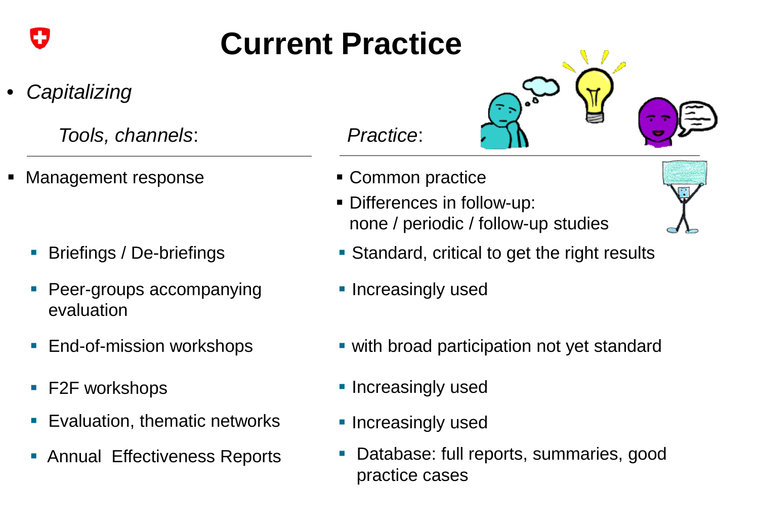## **Current Practice**

• *Capitalizing*

*Tools, channels*: *Practice*:

Management response **Common practice** 

- Briefings / De-briefings
- Peer-groups accompanying evaluation
- End-of-mission workshops
- F2F workshops
- Evaluation, thematic networks
- 



- 
- Differences in follow-up: none / periodic / follow-up studies



- **Standard, critical to get the right results**
- **Increasingly used**
- with broad participation not yet standard
- **Increasingly used**
- **Increasingly used**
- Annual Effectiveness Reports Database: full reports, summaries, good practice cases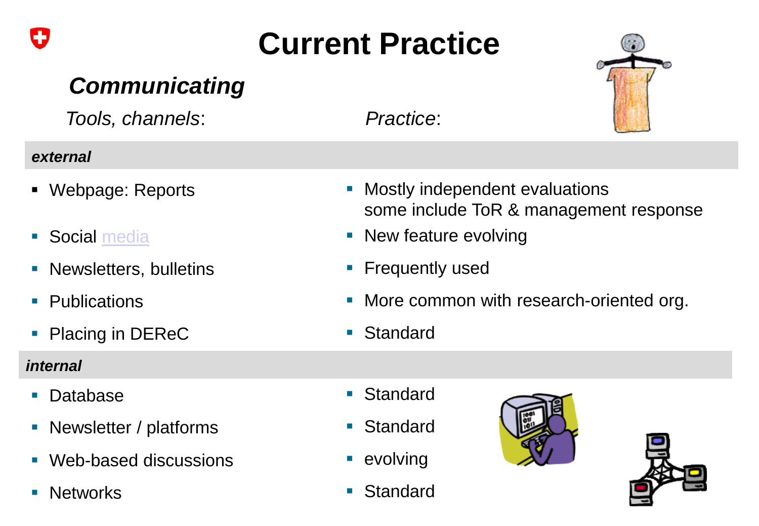

## **Current Practice**

#### *Communicating*

*Tools, channels*: *Practice*:

#### *external*

- Webpage: Reports
- Social media
- Newsletters, bulletins
- **Publications**
- Placing in DEReC

#### *internal*

- **Database**
- Newsletter / platforms
- Web-based discussions
- **Networks**



- **Mostly independent evaluations** some include ToR & management response
- New feature evolving
- **Fille Frequently used**
- **More common with research-oriented org.**
- Standard
- Standard
- Standard
- **evolving**
- Standard





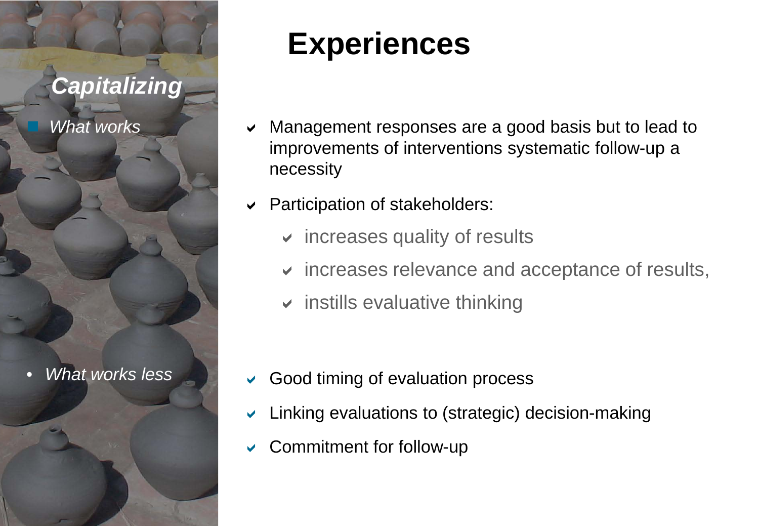#### *Capitalizing*

*What works*

• *What works less*

### **Experiences**

- Management responses are a good basis but to lead to improvements of interventions systematic follow-up a necessity
- Participation of stakeholders:
	- $\vee$  increases quality of results
	- $\vee$  increases relevance and acceptance of results,
	- $\vee$  instills evaluative thinking

- $\vee$  Good timing of evaluation process
- Linking evaluations to (strategic) decision-making
- Commitment for follow-up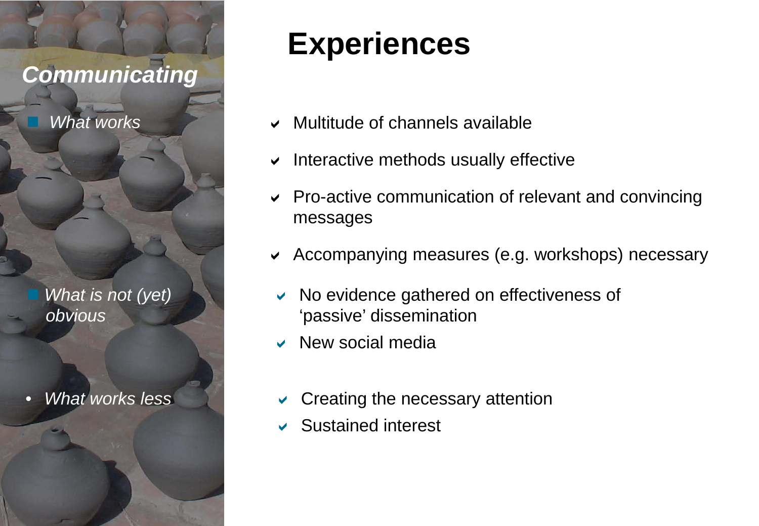#### *Communicating*

*What works*

 *What is not (yet) obvious*

• *What works less*

### **Experiences**

- Multitude of channels available
- $\vee$  Interactive methods usually effective
- $\vee$  Pro-active communication of relevant and convincing messages
- Accompanying measures (e.g. workshops) necessary
- $\vee$  No evidence gathered on effectiveness of 'passive' dissemination
- $\vee$  New social media
- $\vee$  Creating the necessary attention
- Sustained interest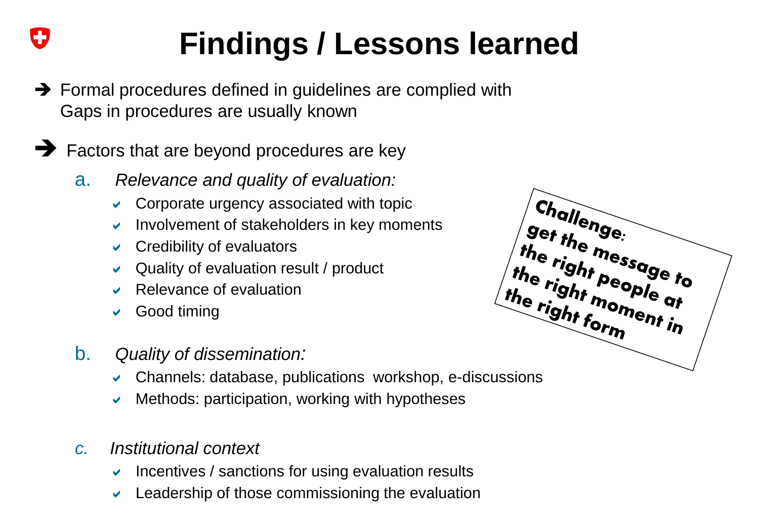## **Findings / Lessons learned**

- $\rightarrow$  Formal procedures defined in guidelines are complied with Gaps in procedures are usually known
- $\rightarrow$  Factors that are beyond procedures are key
	- a. *Relevance and quality of evaluation:*
		- $\vee$  Corporate urgency associated with topic
		- $\vee$  Involvement of stakeholders in key moments
		- $\vee$  Credibility of evaluators
		- $\vee$  Quality of evaluation result / product
		- $\vee$  Relevance of evaluation
		- Good timing
	- b. *Quality of dissemination:*
		- $\vee$  Channels: database, publications workshop, e-discussions
		- $\vee$  Methods: participation, working with hypotheses
	- *c. Institutional context*
		- $\vee$  Incentives / sanctions for using evaluation results
		- $\vee$  Leadership of those commissioning the evaluation